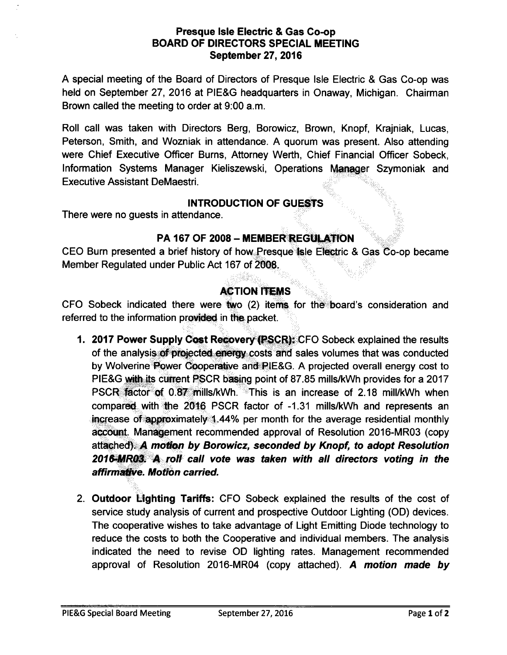#### Presque Isle Electric & Gas Co-op **BOARD OF DIRECTORS SPECIAL MEETING September 27, 2016**

A special meeting of the Board of Directors of Presque Isle Electric & Gas Co-op was held on September 27, 2016 at PIE&G headquarters in Onaway, Michigan, Chairman Brown called the meeting to order at 9:00 a.m.

Roll call was taken with Directors Berg, Borowicz, Brown, Knopf, Krainiak, Lucas, Peterson, Smith, and Wozniak in attendance. A guorum was present. Also attending were Chief Executive Officer Burns, Attorney Werth, Chief Financial Officer Sobeck, Information Systems Manager Kieliszewski, Operations Manager Szymoniak and **Executive Assistant DeMaestri.** 

#### **INTRODUCTION OF GUESTS**

There were no quests in attendance.

#### PA 167 OF 2008 - MEMBER REGULATION

CEO Burn presented a brief history of how Presque Isle Electric & Gas Co-op became Member Regulated under Public Act 167 of 2008.

# **ACTION ITEMS**

CFO Sobeck indicated there were two (2) items for the board's consideration and referred to the information provided in the packet.

- 1. 2017 Power Supply Cost Recovery (PSCR): CFO Sobeck explained the results of the analysis of projected energy costs and sales volumes that was conducted by Wolverine Power Cooperative and PIE&G. A projected overall energy cost to PIE&G with its current PSCR basing point of 87.85 mills/kWh provides for a 2017 PSCR factor of 0.87 mills/kWh. This is an increase of 2.18 mill/kWh when compared with the 2016 PSCR factor of -1.31 mills/kWh and represents an increase of approximately 1.44% per month for the average residential monthly account. Management recommended approval of Resolution 2016-MR03 (copy attached) A motion by Borowicz, seconded by Knopf, to adopt Resolution 2016 MR03. A roll call vote was taken with all directors voting in the affirmative. Motion carried.
- 2. Outdoor Lighting Tariffs: CFO Sobeck explained the results of the cost of service study analysis of current and prospective Outdoor Lighting (OD) devices. The cooperative wishes to take advantage of Light Emitting Diode technology to reduce the costs to both the Cooperative and individual members. The analysis indicated the need to revise OD lighting rates. Management recommended approval of Resolution 2016-MR04 (copy attached). A motion made by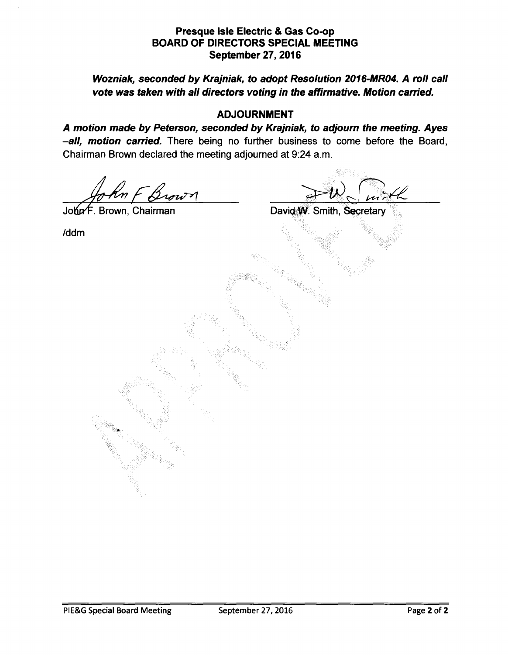#### **Presque Isle Electric** & **Gas Co-op BOARD OF DIRECTORS SPECIAL MEETING September 27, 2016**

#### **Wozniak, seconded by Krajniak, to adopt Resolution 2016-MR04. A roll call vote was taken with all directors voting in the affirmative. Motion carried.**

#### **ADJOURNMENT**

**A motion made by Peterson, seconded by Krajniak, to adjourn the meeting. Ayes -all, motion carried.** There being no further business to come before the Board, Chairman Brown declared the meeting adjourned at 9:24 a.m.

John F. Brown, Chairman

·

David W. Smith, Secretary

/ddm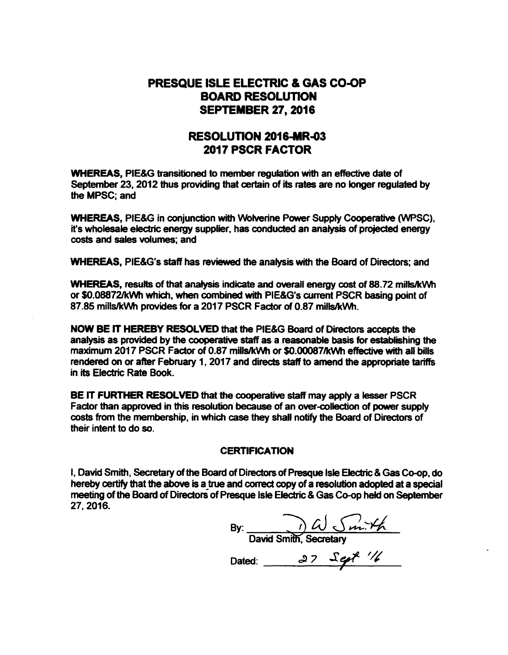### PRESQUE ISLE ELECTRIC & GAS CO-OP **BOARD** RESOLUTION **SEPTEMBER** 27, 2016

## **RESOLUTION 2016-MR~3 2017 PSCR FACTOR**

**WHEREAS,** PIE&G transitioned to member regulation with an effective date of September 23, 2012 thus providing that certain of its rates are no longer regulated by the MPSC; and

**WHEREAS,** PIE&G in conjunction with Wolverine Power Supply Cooperative (WPSC), it's wholesale electric energy supplier, has conducted an analysis of projected energy costs and sales volumes; and

**WHEREAS,** PIE&G's staff has reviewed the analysis with the Board of Directors; and

**WHEREAS,** results of that analysis indicate and overall energy cost of 88. 72 mills/kVVh or \$0.08872/kVVh which, when combined with PIE&G's current PSCR basing point of 87.85 mills/kWh provides for a 2017 PSCR Factor of 0.87 mills/kWh.

**NOW BE** IT **HEREBY RESOLVED** that the PIE&G Board of Directors accepts the analysis as provided by the cooperative staff as a reasonable basis for establishing the maximum 2017 PSCR Factor of 0.87 mills/kWh or \$0.00087/kWh effective with all bills rendered on or after February 1, 2017 and directs staff to amend the appropriate tariffs in its Electric Rate Book.

**BE** IT **FURTHER RESOLVED** that the cooperative staff may apply a lesser PSCR Fador than approved in this resolution because of an over-collection of power supply costs from the membership, in which case they shall notify the Board of Directors of their intent to do so.

#### **CERTIFICATION**

I, David Smith, Secretary ofthe Board of Directors of Presque Isle Eledric & Gas Co-op, do hereby certify that the above is a true and correct copy of a resolution adopted at a special meeting of the Board of Directors of Presque Isle Electric & Gas Co-op held on September 27, 2016.

 $\mathsf{By:}\n \begin{picture}(18,17) \put(0,0){\vector(1,0){15}} \put(1,0){\vector(1,0){15}} \put(1,0){\vector(1,0){15}} \put(1,0){\vector(1,0){15}} \put(1,0){\vector(1,0){15}} \put(1,0){\vector(1,0){15}} \put(1,0){\vector(1,0){15}} \put(1,0){\vector(1,0){15}} \put(1,0){\vector(1,0){15}} \put(1,0){\vector(1,0){15}} \put(1,0){\vector(1,0){15}} \put(1,0){\vector(1,0){$ Dated:  $27$  Sept '/6